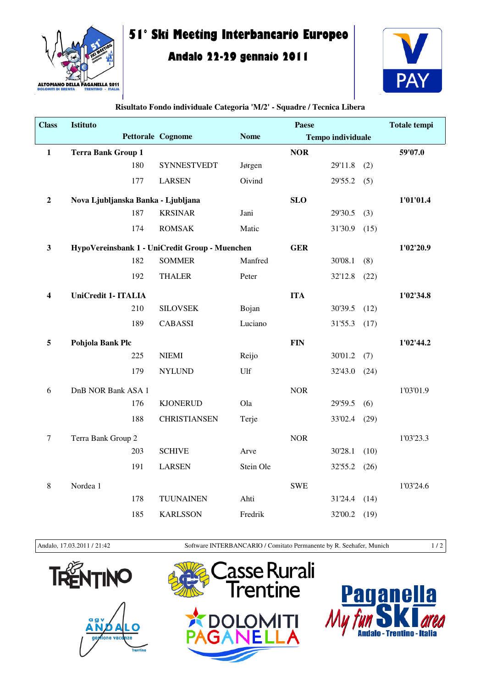

## **51° Ski Meeting Interbancario Europeo**

## **Andalo 22-29 gennaio 2011**



| <b>Class</b>            | <b>Istituto</b>                    |     |                                                |             | Paese      |                          |      | <b>Totale tempi</b> |
|-------------------------|------------------------------------|-----|------------------------------------------------|-------------|------------|--------------------------|------|---------------------|
|                         |                                    |     | <b>Pettorale Cognome</b>                       | <b>Nome</b> |            | <b>Tempo individuale</b> |      |                     |
| $\mathbf{1}$            | <b>Terra Bank Group 1</b>          |     |                                                |             | <b>NOR</b> |                          |      | 59'07.0             |
|                         |                                    | 180 | <b>SYNNESTVEDT</b>                             | Jørgen      |            | 29'11.8                  | (2)  |                     |
|                         |                                    | 177 | <b>LARSEN</b>                                  | Oivind      |            | 29'55.2                  | (5)  |                     |
| $\mathbf{2}$            | Nova Ljubljanska Banka - Ljubljana |     |                                                |             | <b>SLO</b> |                          |      | 1'01'01.4           |
|                         |                                    | 187 | <b>KRSINAR</b>                                 | Jani        |            | 29'30.5                  | (3)  |                     |
|                         |                                    | 174 | <b>ROMSAK</b>                                  | Matic       |            | 31'30.9                  | (15) |                     |
| $\overline{\mathbf{3}}$ |                                    |     | HypoVereinsbank 1 - UniCredit Group - Muenchen |             | <b>GER</b> |                          |      | 1'02'20.9           |
|                         |                                    | 182 | <b>SOMMER</b>                                  | Manfred     |            | 30'08.1                  | (8)  |                     |
|                         |                                    | 192 | <b>THALER</b>                                  | Peter       |            | 32'12.8                  | (22) |                     |
| 4                       | <b>UniCredit 1- ITALIA</b>         |     |                                                |             | <b>ITA</b> |                          |      | 1'02'34.8           |
|                         |                                    | 210 | <b>SILOVSEK</b>                                | Bojan       |            | 30'39.5                  | (12) |                     |
|                         |                                    | 189 | <b>CABASSI</b>                                 | Luciano     |            | 31'55.3                  | (17) |                     |
| 5                       | Pohjola Bank Plc                   |     |                                                |             | <b>FIN</b> |                          |      | 1'02'44.2           |
|                         |                                    | 225 | <b>NIEMI</b>                                   | Reijo       |            | 30'01.2                  | (7)  |                     |
|                         |                                    | 179 | <b>NYLUND</b>                                  | Ulf         |            | 32'43.0                  | (24) |                     |
| 6                       | DnB NOR Bank ASA 1                 |     |                                                |             | <b>NOR</b> |                          |      | 1'03'01.9           |
|                         |                                    | 176 | <b>KJONERUD</b>                                | Ola         |            | 29'59.5                  | (6)  |                     |
|                         |                                    | 188 | <b>CHRISTIANSEN</b>                            | Terje       |            | 33'02.4                  | (29) |                     |
| $\tau$                  | Terra Bank Group 2                 |     |                                                |             | <b>NOR</b> |                          |      | 1'03'23.3           |
|                         |                                    | 203 | <b>SCHIVE</b>                                  | Arve        |            | 30'28.1                  | (10) |                     |
|                         |                                    | 191 | <b>LARSEN</b>                                  | Stein Ole   |            | 32'55.2                  | (26) |                     |
| $\,8\,$                 | Nordea 1                           |     |                                                |             | <b>SWE</b> |                          |      | 1'03'24.6           |
|                         |                                    | 178 | <b>TUUNAINEN</b>                               | Ahti        |            | 31'24.4                  | (14) |                     |
|                         |                                    | 185 | <b>KARLSSON</b>                                | Fredrik     |            | 32'00.2                  | (19) |                     |

**Risultato Fondo individuale Categoria 'M/2' - Squadre / Tecnica Libera**

Andalo, 17.03.2011 / 21:42 Software INTERBANCARIO / Comitato Permanente by R. Seehafer, Munich 1 / 2